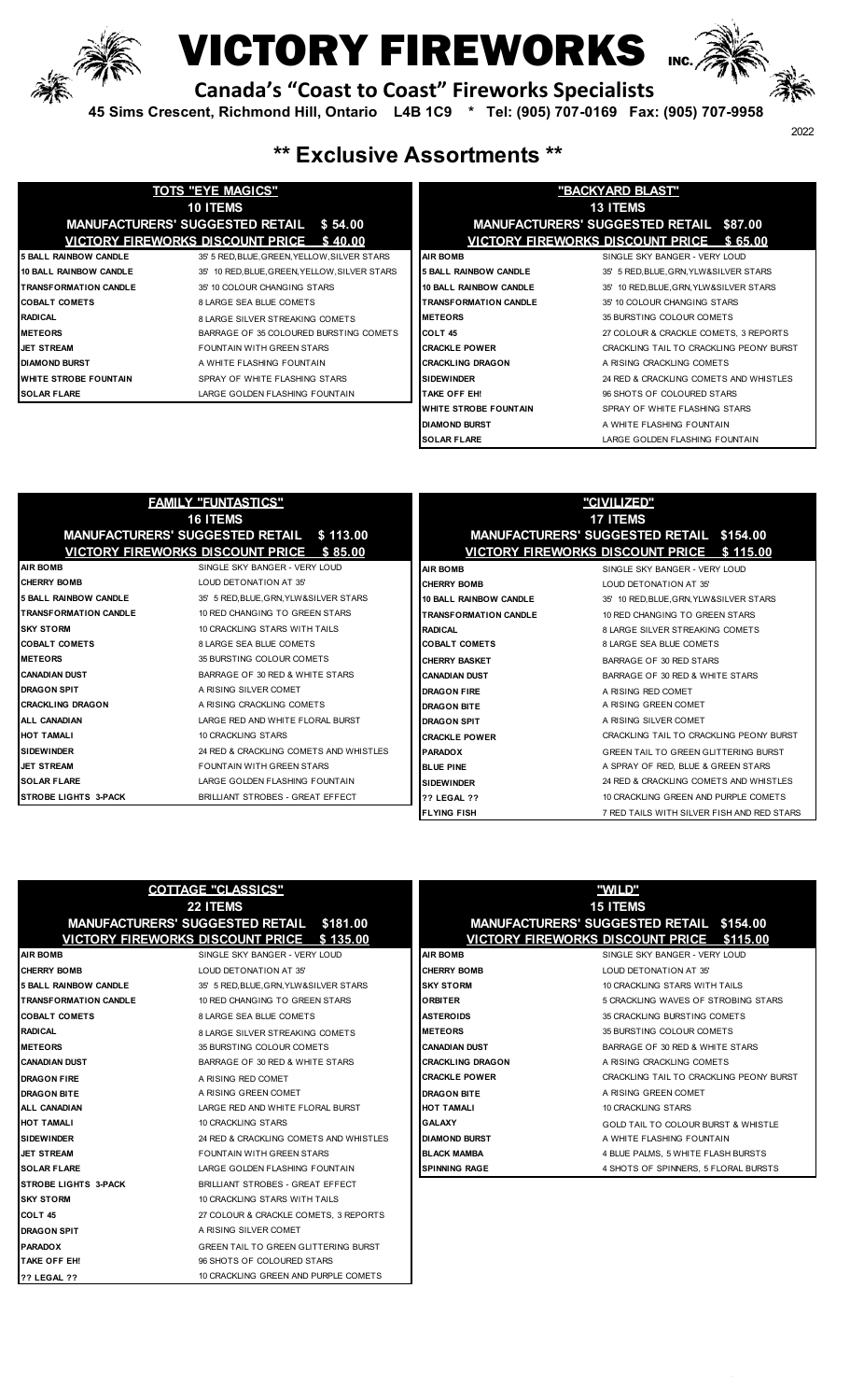

### **ICTORY FIREWORKS**

 **Canada's "Coast to Coast" Fireworks Specialists**

 **45 Sims Crescent, Richmond Hill, Ontario L4B 1C9 \* Tel: (905) 707-0169 Fax: (905) 707-9958**



### **\*\* Exclusive Assortments \*\***

|                               | <b>TOTS "EYE MAGICS"</b>                      | "BACKYARD BLAST"              |                                          |  |
|-------------------------------|-----------------------------------------------|-------------------------------|------------------------------------------|--|
|                               | <b>10 ITEMS</b>                               |                               | <b>13 ITEMS</b>                          |  |
|                               | MANUFACTURERS' SUGGESTED RETAIL \$54.00       |                               | MANUFACTURERS' SUGGESTED RETAIL \$87.00  |  |
|                               | VICTORY FIREWORKS DISCOUNT PRICE \$40.00      |                               | VICTORY FIREWORKS DISCOUNT PRICE \$65.00 |  |
| <b>5 BALL RAINBOW CANDLE</b>  | 35' 5 RED. BLUE. GREEN. YELLOW. SILVER STARS  | <b>AIR BOMB</b>               | SINGLE SKY BANGER - VERY LOUD            |  |
| <b>10 BALL RAINBOW CANDLE</b> | 35' 10 RED, BLUE, GREEN, YELLOW, SILVER STARS | <b>5 BALL RAINBOW CANDLE</b>  | 35' 5 RED, BLUE, GRN, YLW&SILVER STARS   |  |
| <b>TRANSFORMATION CANDLE</b>  | 35' 10 COLOUR CHANGING STARS                  | <b>10 BALL RAINBOW CANDLE</b> | 35' 10 RED, BLUE, GRN, YLW&SILVER STARS  |  |
| <b>COBALT COMETS</b>          | 8 LARGE SEA BLUE COMETS                       | <b>TRANSFORMATION CANDLE</b>  | 35' 10 COLOUR CHANGING STARS             |  |
| <b>RADICAL</b>                | 8 LARGE SILVER STREAKING COMETS               | <b>METEORS</b>                | 35 BURSTING COLOUR COMETS                |  |
| <b>METEORS</b>                | BARRAGE OF 35 COLOURED BURSTING COMETS        | COLT 45                       | 27 COLOUR & CRACKLE COMETS, 3 REPORTS    |  |
| <b>JET STREAM</b>             | <b>FOUNTAIN WITH GREEN STARS</b>              | <b>CRACKLE POWER</b>          | CRACKLING TAIL TO CRACKLING PEONY BURST  |  |
| <b>DIAMOND BURST</b>          | A WHITE FLASHING FOUNTAIN                     | <b>CRACKLING DRAGON</b>       | A RISING CRACKLING COMETS                |  |
| <b>WHITE STROBE FOUNTAIN</b>  | SPRAY OF WHITE FLASHING STARS                 | <b>SIDEWINDER</b>             | 24 RED & CRACKLING COMETS AND WHISTLES   |  |
| <b>SOLAR FLARE</b>            | LARGE GOLDEN FLASHING FOUNTAIN                | TAKE OFF EH!                  | 96 SHOTS OF COLOURED STARS               |  |
|                               |                                               | <b>WHITE STROBE FOUNTAIN</b>  | SPRAY OF WHITE FLASHING STARS            |  |
|                               |                                               |                               |                                          |  |

| "BACKYARD BLAST"              |                                                |  |  |  |  |
|-------------------------------|------------------------------------------------|--|--|--|--|
| <b>13 ITEMS</b>               |                                                |  |  |  |  |
|                               | <b>MANUFACTURERS' SUGGESTED RETAIL \$87.00</b> |  |  |  |  |
|                               | VICTORY FIREWORKS DISCOUNT PRICE \$65.00       |  |  |  |  |
| <b>AIR ROMB</b>               | SINGLE SKY BANGER - VERY LOUD                  |  |  |  |  |
| <b>5 BALL RAINBOW CANDLE</b>  | 35' 5 RED, BLUE, GRN, YLW&SILVER STARS         |  |  |  |  |
| <b>10 BALL RAINBOW CANDLE</b> | 35' 10 RED, BLUE, GRN, YLW&SILVER STARS        |  |  |  |  |
| <b>TRANSFORMATION CANDLE</b>  | 35' 10 COLOUR CHANGING STARS                   |  |  |  |  |
| <b>METEORS</b>                | 35 BURSTING COLOUR COMETS                      |  |  |  |  |
| COLT <sub>45</sub>            | 27 COLOUR & CRACKLE COMETS, 3 REPORTS          |  |  |  |  |
| <b>CRACKLE POWER</b>          | CRACKLING TAIL TO CRACKLING PEONY BURST        |  |  |  |  |
| <b>CRACKI ING DRAGON</b>      | A RISING CRACKLING COMETS                      |  |  |  |  |
| <b>SIDEWINDER</b>             | 24 RED & CRACKLING COMETS AND WHISTLES         |  |  |  |  |
| <b>TAKE OFF FH!</b>           | 96 SHOTS OF COLOURED STARS                     |  |  |  |  |
| <b>WHITE STROBE FOUNTAIN</b>  | SPRAY OF WHITE FLASHING STARS                  |  |  |  |  |
| <b>DIAMOND BURST</b>          | A WHITE FLASHING FOUNTAIN                      |  |  |  |  |
| <b>SOLAR FLARE</b>            | LARGE GOLDEN FLASHING FOUNTAIN                 |  |  |  |  |

| <b>FAMILY "FUNTASTICS"</b><br><b>16 ITEMS</b><br>MANUFACTURERS' SUGGESTED RETAIL \$113.00<br>VICTORY FIREWORKS DISCOUNT PRICE \$85.00 |                                        | <u>"CIVILIZED"</u><br><b>17 ITEMS</b><br><b>MANUFACTURERS' SUGGESTED RETAIL \$154.00</b><br>VICTORY FIREWORKS DISCOUNT PRICE \$115.00 |                                             |
|---------------------------------------------------------------------------------------------------------------------------------------|----------------------------------------|---------------------------------------------------------------------------------------------------------------------------------------|---------------------------------------------|
| <b>AIR BOMB</b>                                                                                                                       | SINGLE SKY BANGER - VERY LOUD          | <b>AIR BOMB</b>                                                                                                                       | SINGLE SKY BANGER - VERY LOUD               |
| <b>ICHERRY BOMB</b>                                                                                                                   | LOUD DETONATION AT 35'                 | <b>CHERRY BOMB</b>                                                                                                                    | LOUD DETONATION AT 35                       |
| <b>5 BALL RAINBOW CANDLE</b>                                                                                                          | 35' 5 RED. BLUE. GRN. YLW&SILVER STARS | 10 BALL RAINBOW CANDLE                                                                                                                | 35' 10 RED, BLUE, GRN, YLW&SILVER STARS     |
| <b>ITRANSFORMATION CANDLE</b>                                                                                                         | 10 RED CHANGING TO GREEN STARS         | <b>TRANSFORMATION CANDLE</b>                                                                                                          | 10 RED CHANGING TO GREEN STARS              |
| <b>ISKY STORM</b>                                                                                                                     | 10 CRACKLING STARS WITH TAILS          | <b>RADICAL</b>                                                                                                                        | <b>8 LARGE SILVER STREAKING COMETS</b>      |
| <b>COBALT COMETS</b>                                                                                                                  | 8 LARGE SEA BLUE COMETS                | <b>COBALT COMETS</b>                                                                                                                  | 8 LARGE SEA BLUE COMETS                     |
| <b>METEORS</b>                                                                                                                        | 35 BURSTING COLOUR COMETS              | <b>CHERRY BASKET</b>                                                                                                                  | BARRAGE OF 30 RED STARS                     |
| <b>CANADIAN DUST</b>                                                                                                                  | BARRAGE OF 30 RED & WHITE STARS        | <b>CANADIAN DUST</b>                                                                                                                  | BARRAGE OF 30 RED & WHITE STARS             |
| <b>DRAGON SPIT</b>                                                                                                                    | A RISING SILVER COMET                  | <b>DRAGON FIRE</b>                                                                                                                    | A RISING RED COMET                          |
| <b>CRACKLING DRAGON</b>                                                                                                               | A RISING CRACKLING COMETS              | <b>DRAGON BITE</b>                                                                                                                    | A RISING GREEN COMET                        |
| <b>ALL CANADIAN</b>                                                                                                                   | LARGE RED AND WHITE FLORAL BURST       | <b>DRAGON SPIT</b>                                                                                                                    | A RISING SILVER COMET                       |
| <b>HOT TAMALI</b>                                                                                                                     | <b>10 CRACKLING STARS</b>              | <b>CRACKLE POWER</b>                                                                                                                  | CRACKLING TAIL TO CRACKLING PEONY BURST     |
| <b>SIDEWINDER</b>                                                                                                                     | 24 RED & CRACKLING COMETS AND WHISTLES | <b>PARADOX</b>                                                                                                                        | <b>GREEN TAIL TO GREEN GLITTERING BURST</b> |
| <b>JET STREAM</b>                                                                                                                     | <b>FOUNTAIN WITH GREEN STARS</b>       | <b>BLUE PINE</b>                                                                                                                      | A SPRAY OF RED, BLUE & GREEN STARS          |
| <b>SOLAR FLARE</b>                                                                                                                    | LARGE GOLDEN FLASHING FOUNTAIN         | <b>SIDEWINDER</b>                                                                                                                     | 24 RED & CRACKLING COMETS AND WHISTLES      |
| <b>STROBE LIGHTS 3-PACK</b>                                                                                                           | BRILLIANT STROBES - GREAT EFFECT       | <b>?? LEGAL ??</b>                                                                                                                    | 10 CRACKLING GREEN AND PURPLE COMETS        |
|                                                                                                                                       |                                        | <b>FLYING FISH</b>                                                                                                                    | 7 RED TAILS WITH SILVER FISH AND RED STARS  |

| <b>COTTAGE "CLASSICS"</b>                       |                                             |  |                         | "WILD"                                          |  |
|-------------------------------------------------|---------------------------------------------|--|-------------------------|-------------------------------------------------|--|
|                                                 | 22 ITEMS                                    |  | <b>15 ITEMS</b>         |                                                 |  |
| <b>MANUFACTURERS' SUGGESTED RETAIL \$181.00</b> |                                             |  |                         | <b>MANUFACTURERS' SUGGESTED RETAIL \$154.00</b> |  |
|                                                 | VICTORY FIREWORKS DISCOUNT PRICE \$135.00   |  |                         | VICTORY FIREWORKS DISCOUNT PRICE \$115.00       |  |
| <b>AIR BOMB</b>                                 | SINGLE SKY BANGER - VERY LOUD               |  | <b>AIR BOMB</b>         | SINGLE SKY BANGER - VERY LOUD                   |  |
| <b>CHERRY BOMB</b>                              | LOUD DETONATION AT 35'                      |  | <b>CHERRY BOMB</b>      | LOUD DETONATION AT 35'                          |  |
| <b>5 BALL RAINBOW CANDLE</b>                    | 35' 5 RED, BLUE, GRN, YLW&SILVER STARS      |  | <b>SKY STORM</b>        | 10 CRACKLING STARS WITH TAILS                   |  |
| <b>TRANSFORMATION CANDLE</b>                    | 10 RED CHANGING TO GREEN STARS              |  | <b>ORBITER</b>          | 5 CRACKLING WAVES OF STROBING STARS             |  |
| <b>COBALT COMETS</b>                            | 8 LARGE SEA BLUE COMETS                     |  | <b>ASTEROIDS</b>        | 35 CRACKLING BURSTING COMETS                    |  |
| <b>RADICAL</b>                                  | 8 LARGE SILVER STREAKING COMETS             |  | <b>METEORS</b>          | 35 BURSTING COLOUR COMETS                       |  |
| <b>METEORS</b>                                  | 35 BURSTING COLOUR COMETS                   |  | ICANADIAN DUST          | BARRAGE OF 30 RED & WHITE STARS                 |  |
| <b>CANADIAN DUST</b>                            | BARRAGE OF 30 RED & WHITE STARS             |  | <b>CRACKLING DRAGON</b> | A RISING CRACKLING COMETS                       |  |
| <b>DRAGON FIRE</b>                              | A RISING RED COMET                          |  | <b>CRACKLE POWER</b>    | CRACKLING TAIL TO CRACKLING PEONY BURST         |  |
| <b>DRAGON BITE</b>                              | A RISING GREEN COMET                        |  | <b>DRAGON BITE</b>      | A RISING GREEN COMET                            |  |
| ALL CANADIAN                                    | LARGE RED AND WHITE FLORAL BURST            |  | <b>HOT TAMALI</b>       | <b>10 CRACKLING STARS</b>                       |  |
| <b>HOT TAMALI</b>                               | <b>10 CRACKLING STARS</b>                   |  | <b>GALAXY</b>           | GOLD TAIL TO COLOUR BURST & WHISTLE             |  |
| <b>SIDEWINDER</b>                               | 24 RED & CRACKLING COMETS AND WHISTLES      |  | <b>DIAMOND BURST</b>    | A WHITE FLASHING FOUNTAIN                       |  |
| <b>JET STREAM</b>                               | <b>FOUNTAIN WITH GREEN STARS</b>            |  | <b>BLACK MAMBA</b>      | 4 BLUE PALMS, 5 WHITE FLASH BURSTS              |  |
| <b>SOLAR FLARE</b>                              | LARGE GOLDEN FLASHING FOUNTAIN              |  | <b>SPINNING RAGE</b>    | 4 SHOTS OF SPINNERS, 5 FLORAL BURSTS            |  |
| <b>STROBE LIGHTS 3-PACK</b>                     | BRILLIANT STROBES - GREAT EFFECT            |  |                         |                                                 |  |
| <b>SKY STORM</b>                                | 10 CRACKLING STARS WITH TAILS               |  |                         |                                                 |  |
| COLT <sub>45</sub>                              | 27 COLOUR & CRACKLE COMETS, 3 REPORTS       |  |                         |                                                 |  |
| <b>DRAGON SPIT</b>                              | A RISING SILVER COMET                       |  |                         |                                                 |  |
| <b>PARADOX</b>                                  | <b>GREEN TAIL TO GREEN GLITTERING BURST</b> |  |                         |                                                 |  |
| TAKE OFF EH!                                    | 96 SHOTS OF COLOURED STARS                  |  |                         |                                                 |  |
| <b>?? LEGAL ??</b>                              | 10 CRACKLING GREEN AND PURPLE COMETS        |  |                         |                                                 |  |
|                                                 |                                             |  |                         |                                                 |  |

|                       | <b>COTTAGE "CLASSICS"</b>                            | "WILD"                  |                                                                    |  |
|-----------------------|------------------------------------------------------|-------------------------|--------------------------------------------------------------------|--|
|                       | 22 ITEMS<br>MANUFACTURERS' SUGGESTED RETAIL \$181.00 |                         | <b>15 ITEMS</b><br><b>MANUFACTURERS' SUGGESTED RETAIL \$154.00</b> |  |
|                       | VICTORY FIREWORKS DISCOUNT PRICE \$135.00            |                         | VICTORY FIREWORKS DISCOUNT PRICE \$115.00                          |  |
|                       | SINGLE SKY BANGER - VERY LOUD                        | <b>AIR BOMB</b>         | SINGLE SKY BANGER - VERY LOUD                                      |  |
| OMB                   | LOUD DETONATION AT 35'                               | <b>CHERRY BOMB</b>      | LOUD DETONATION AT 35'                                             |  |
| <b>INBOW CANDLE</b>   | 35' 5 RED. BLUE. GRN. YLW&SILVER STARS               | <b>SKY STORM</b>        | 10 CRACKLING STARS WITH TAILS                                      |  |
| <b>RMATION CANDLE</b> | 10 RED CHANGING TO GREEN STARS                       | <b>ORBITER</b>          | 5 CRACKLING WAVES OF STROBING STARS                                |  |
| <b>:OMETS</b>         | 8 LARGE SEA BLUE COMETS                              | <b>ASTEROIDS</b>        | 35 CRACKLING BURSTING COMETS                                       |  |
|                       | 8 LARGE SILVER STREAKING COMETS                      | <b>METEORS</b>          | 35 BURSTING COLOUR COMETS                                          |  |
|                       | 35 BURSTING COLOUR COMETS                            | <b>CANADIAN DUST</b>    | BARRAGE OF 30 RED & WHITE STARS                                    |  |
| <b>DUST</b>           | BARRAGE OF 30 RED & WHITE STARS                      | <b>CRACKLING DRAGON</b> | A RISING CRACKLING COMETS                                          |  |
| FIRE.                 | A RISING RED COMET                                   | <b>CRACKLE POWER</b>    | CRACKLING TAIL TO CRACKLING PEONY BURST                            |  |
| 3ITE                  | A RISING GREEN COMET                                 | <b>DRAGON BITE</b>      | A RISING GREEN COMET                                               |  |
| DIAN                  | LARGE RED AND WHITE FLORAL BURST                     | <b>HOT TAMALI</b>       | 10 CRACKLING STARS                                                 |  |
| ۱L                    | 10 CRACKLING STARS                                   | <b>GALAXY</b>           | GOLD TAIL TO COLOUR BURST & WHISTLE                                |  |
| ER                    | 24 RED & CRACKLING COMETS AND WHISTLES               | <b>DIAMOND BURST</b>    | A WHITE FLASHING FOUNTAIN                                          |  |
| ΑМ                    | <b>FOUNTAIN WITH GREEN STARS</b>                     | <b>BLACK MAMBA</b>      | 4 BLUE PALMS, 5 WHITE FLASH BURSTS                                 |  |
| <b>ARE</b>            | LARGE GOLDEN FLASHING FOUNTAIN                       | <b>SPINNING RAGE</b>    | 4 SHOTS OF SPINNERS, 5 FLORAL BURSTS                               |  |
| 10100000000001001     |                                                      |                         |                                                                    |  |

2022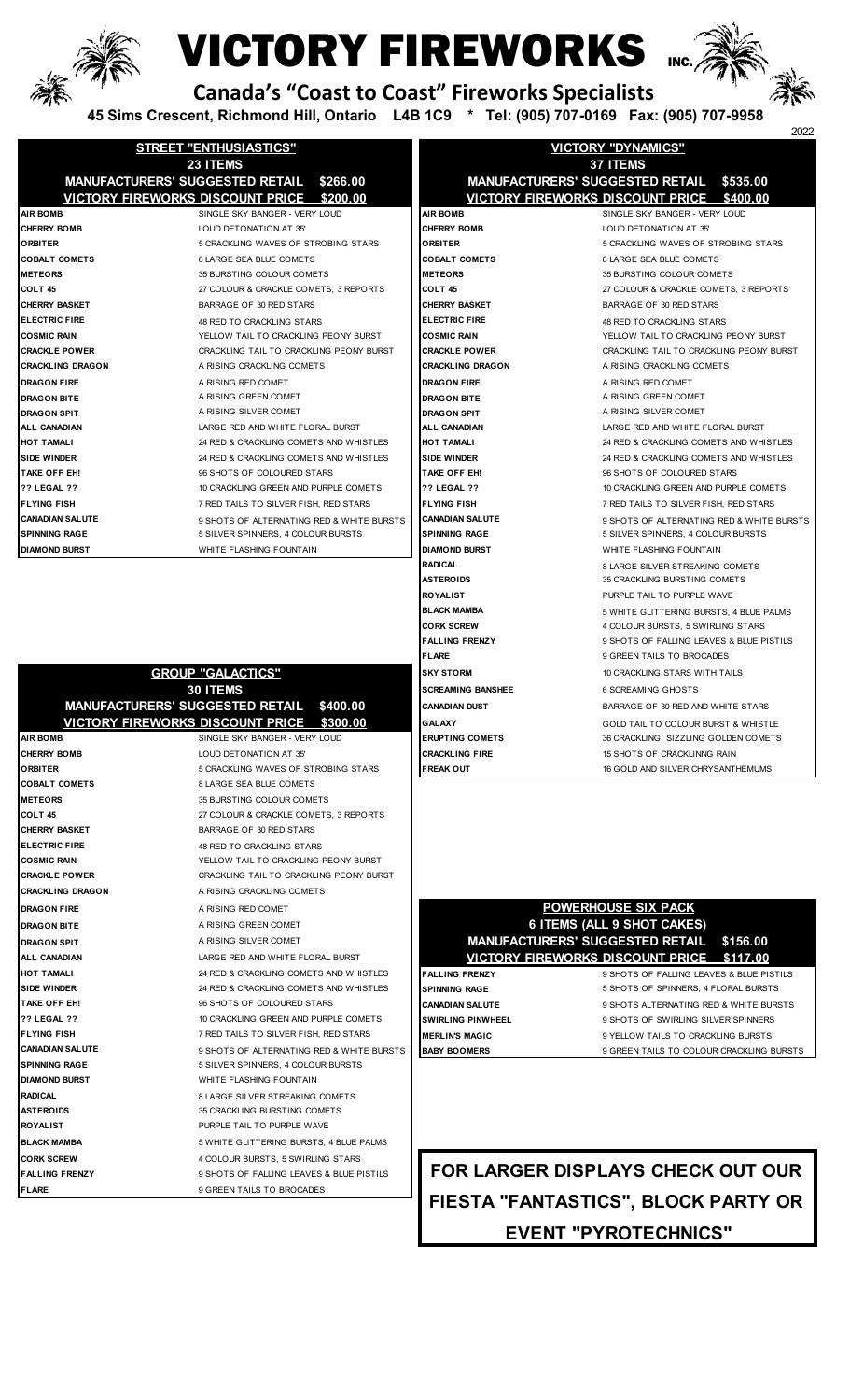

### **VICTORY FIREWORKS**



 **Canada's "Coast to Coast" Fireworks Specialists**

 **45 Sims Crescent, Richmond Hill, Ontario L4B 1C9 \* Tel: (905) 707-0169 Fax: (905) 707-9958**

|                         |                                                    |                                                    | 2022                                      |  |
|-------------------------|----------------------------------------------------|----------------------------------------------------|-------------------------------------------|--|
|                         | <b>STREET "ENTHUSIASTICS"</b>                      |                                                    | <b>VICTORY "DYNAMICS"</b>                 |  |
|                         | 23 ITEMS                                           | <b>37 ITEMS</b>                                    |                                           |  |
|                         | <b>MANUFACTURERS' SUGGESTED RETAIL</b><br>\$266.00 | <b>MANUFACTURERS' SUGGESTED RETAIL</b><br>\$535.00 |                                           |  |
|                         | VICTORY FIREWORKS DISCOUNT PRICE \$200.00          |                                                    | VICTORY FIREWORKS DISCOUNT PRICE \$400.00 |  |
| <b>AIR BOMB</b>         | SINGLE SKY BANGER - VERY LOUD                      | <b>AIR BOMB</b>                                    | SINGLE SKY BANGER - VERY LOUD             |  |
| <b>CHERRY BOMB</b>      | LOUD DETONATION AT 35'                             | <b>CHERRY BOMB</b>                                 | LOUD DETONATION AT 35'                    |  |
| <b>ORBITER</b>          | 5 CRACKLING WAVES OF STROBING STARS                | <b>ORBITER</b>                                     | 5 CRACKLING WAVES OF STROBING STARS       |  |
| <b>COBALT COMETS</b>    | 8 LARGE SEA BLUE COMETS                            | <b>COBALT COMETS</b>                               | 8 LARGE SEA BLUE COMETS                   |  |
| <b>METEORS</b>          | 35 BURSTING COLOUR COMETS                          | <b>METEORS</b>                                     | 35 BURSTING COLOUR COMETS                 |  |
| COLT <sub>45</sub>      | 27 COLOUR & CRACKLE COMETS, 3 REPORTS              | COLT <sub>45</sub>                                 | 27 COLOUR & CRACKLE COMETS, 3 REPORTS     |  |
| <b>CHERRY BASKET</b>    | BARRAGE OF 30 RED STARS                            | <b>CHERRY BASKET</b>                               | BARRAGE OF 30 RED STARS                   |  |
| <b>ELECTRIC FIRE</b>    | 48 RED TO CRACKLING STARS                          | <b>ELECTRIC FIRE</b>                               | 48 RED TO CRACKLING STARS                 |  |
| <b>COSMIC RAIN</b>      | YELLOW TAIL TO CRACKLING PEONY BURST               | <b>COSMIC RAIN</b>                                 | YELLOW TAIL TO CRACKLING PEONY BURST      |  |
| <b>CRACKLE POWER</b>    | CRACKLING TAIL TO CRACKLING PEONY BURST            | <b>CRACKLE POWER</b>                               | CRACKLING TAIL TO CRACKLING PEONY BURST   |  |
| <b>CRACKLING DRAGON</b> | A RISING CRACKLING COMETS                          | <b>CRACKLING DRAGON</b>                            | A RISING CRACKLING COMETS                 |  |
| <b>DRAGON FIRE</b>      | A RISING RED COMET                                 | <b>DRAGON FIRE</b>                                 | A RISING RED COMET                        |  |
| <b>DRAGON BITE</b>      | A RISING GREEN COMET                               | <b>DRAGON BITE</b>                                 | A RISING GREEN COMET                      |  |
| <b>DRAGON SPIT</b>      | A RISING SILVER COMET                              | <b>DRAGON SPIT</b>                                 | A RISING SILVER COMET                     |  |
| ALL CANADIAN            | LARGE RED AND WHITE FLORAL BURST                   | <b>ALL CANADIAN</b>                                | LARGE RED AND WHITE FLORAL BURST          |  |
| <b>HOT TAMALI</b>       | 24 RED & CRACKLING COMETS AND WHISTLES             | <b>HOT TAMALI</b>                                  | 24 RED & CRACKLING COMETS AND WHISTLES    |  |
| <b>SIDE WINDER</b>      | 24 RED & CRACKLING COMETS AND WHISTLES             | <b>SIDE WINDER</b>                                 | 24 RED & CRACKLING COMETS AND WHISTLES    |  |
| TAKE OFF EH!            | 96 SHOTS OF COLOURED STARS                         | TAKE OFF EH!                                       | 96 SHOTS OF COLOURED STARS                |  |
| <b>?? LEGAL ??</b>      | 10 CRACKLING GREEN AND PURPLE COMETS               | <b>?? LEGAL ??</b>                                 | 10 CRACKLING GREEN AND PURPLE COMETS      |  |
| <b>FLYING FISH</b>      | 7 RED TAILS TO SILVER FISH, RED STARS              | <b>FLYING FISH</b>                                 | 7 RED TAILS TO SILVER FISH, RED STARS     |  |
| <b>CANADIAN SALUTE</b>  | 9 SHOTS OF ALTERNATING RED & WHITE BURSTS          | <b>CANADIAN SALUTE</b>                             | 9 SHOTS OF ALTERNATING RED & WHITE BURSTS |  |
| <b>ISPINNING RAGE</b>   | 5 SILVER SPINNERS, 4 COLOUR BURSTS                 | <b>SPINNING RAGE</b>                               | 5 SILVER SPINNERS, 4 COLOUR BURSTS        |  |
| <b>DIAMOND BURST</b>    | WHITE FLASHING FOUNTAIN                            | <b>DIAMOND BURST</b>                               | WHITE FLASHING FOUNTAIN                   |  |
|                         |                                                    | <b>RADICAL</b>                                     | 8 LARGE SILVER STREAKING COMETS           |  |
|                         |                                                    | <b>ASTEROIDS</b>                                   | 35 CRACKLING BURSTING COMETS              |  |
|                         |                                                    | <b>ROYALIST</b>                                    | PURPLE TAIL TO PURPLE WAVE                |  |

|                       | <b>GROUP "GALACTICS"</b>                            | <b>SKY STORM</b>         | 10 CRACKLING STARS WITH TAILS                       |
|-----------------------|-----------------------------------------------------|--------------------------|-----------------------------------------------------|
|                       | <b>30 ITEMS</b>                                     | <b>SCREAMING BANSHEE</b> | <b>6 SCREAMING GHOSTS</b>                           |
|                       | <b>MANUFACTURERS' SUGGESTED RETAIL</b><br>\$400.00  | <b>CANADIAN DUST</b>     | BARRAGE OF 30 RED AND WHITE STARS                   |
|                       | <u>VICTORY FIREWORKS DISCOUNT PRICE</u><br>\$300.00 | <b>GALAXY</b>            | GOLD TAIL TO COLOUR BURST & WHISTLE                 |
| <b>AIR BOMB</b>       | SINGLE SKY BANGER - VERY LOUD                       | <b>ERUPTING COMETS</b>   | 36 CRACKLING, SIZZLING GOLDEN COMETS                |
| <b>CHERRY BOMB</b>    | LOUD DETONATION AT 35'                              | <b>CRACKLING FIRE</b>    | 15 SHOTS OF CRACKLINNG RAIN                         |
| <b>ORBITER</b>        | 5 CRACKLING WAVES OF STROBING STARS                 | <b>FREAK OUT</b>         | 16 GOLD AND SILVER CHRYSANTHEMUMS                   |
| <b>COBALT COMETS</b>  | <b>8 LARGE SEA BLUE COMETS</b>                      |                          |                                                     |
| <b>METEORS</b>        | 35 BURSTING COLOUR COMETS                           |                          |                                                     |
| COLT 45               | 27 COLOUR & CRACKLE COMETS, 3 REPORTS               |                          |                                                     |
| <b>CHERRY BASKET</b>  | BARRAGE OF 30 RED STARS                             |                          |                                                     |
| <b>ELECTRIC FIRE</b>  | 48 RED TO CRACKLING STARS                           |                          |                                                     |
| <b>COSMIC RAIN</b>    | YELLOW TAIL TO CRACKLING PEONY BURST                |                          |                                                     |
| <b>CRACKLE POWER</b>  | CRACKLING TAIL TO CRACKLING PEONY BURST             |                          |                                                     |
| CRACKLING DRAGON      | A RISING CRACKLING COMETS                           |                          |                                                     |
| <b>DRAGON FIRE</b>    | A RISING RED COMET                                  |                          | <b>POWERHOUSE SIX PACK</b>                          |
| <b>DRAGON BITE</b>    | A RISING GREEN COMET                                |                          | 6 ITEMS (ALL 9 SHOT CAKES)                          |
| DRAGON SPIT           | A RISING SILVER COMET                               |                          | <b>MANUFACTURERS' SUGGESTED RETAIL</b><br>\$156.00  |
| ALL CANADIAN          | LARGE RED AND WHITE FLORAL BURST                    |                          | <b>VICTORY FIREWORKS DISCOUNT PRICE</b><br>\$117.00 |
| HOT TAMALI            | 24 RED & CRACKLING COMETS AND WHISTLES              | <b>FALLING FRENZY</b>    | 9 SHOTS OF FALLING LEAVES & BLUE PIST               |
| SIDE WINDER           | 24 RED & CRACKLING COMETS AND WHISTLES              | <b>SPINNING RAGE</b>     | 5 SHOTS OF SPINNERS, 4 FLORAL BURSTS                |
| TAKE OFF EH!          | 96 SHOTS OF COLOURED STARS                          | <b>CANADIAN SALUTE</b>   | 9 SHOTS ALTERNATING RED & WHITE BURS                |
| <b>?? LEGAL ??</b>    | 10 CRACKLING GREEN AND PURPLE COMETS                | <b>SWIRLING PINWHEEL</b> | 9 SHOTS OF SWIRLING SILVER SPINNERS                 |
| <b>FLYING FISH</b>    | 7 RED TAILS TO SILVER FISH, RED STARS               | <b>MERLIN'S MAGIC</b>    | 9 YELLOW TAILS TO CRACKLING BURSTS                  |
| CANADIAN SALUTE       | 9 SHOTS OF ALTERNATING RED & WHITE BURSTS           | <b>BABY BOOMERS</b>      | 9 GREEN TAILS TO COLOUR CRACKLING BU                |
| SPINNING RAGE         | 5 SILVER SPINNERS, 4 COLOUR BURSTS                  |                          |                                                     |
| <b>DIAMOND BURST</b>  | WHITE FLASHING FOUNTAIN                             |                          |                                                     |
| RADICAL               | 8 LARGE SILVER STREAKING COMETS                     |                          |                                                     |
| <b>ASTEROIDS</b>      | 35 CRACKLING BURSTING COMETS                        |                          |                                                     |
| ROYALIST              | PURPLE TAIL TO PURPLE WAVE                          |                          |                                                     |
| BLACK MAMBA           | 5 WHITE GLITTERING BURSTS, 4 BLUE PALMS             |                          |                                                     |
| <b>CORK SCREW</b>     | 4 COLOUR BURSTS, 5 SWIRLING STARS                   |                          |                                                     |
| <b>FALLING FRENZY</b> | 9 SHOTS OF FALLING LEAVES & BLUE PISTILS            |                          | FOR LARGER DISPLAYS CHECK OUT OI                    |
| <b>FLARE</b>          | 9 GREEN TAILS TO BROCADES                           |                          |                                                     |
|                       |                                                     |                          | FIESTA "FANTASTICS", BLOCK PARTY (                  |

| 37 ITEMS                               |                                           |  |  |  |
|----------------------------------------|-------------------------------------------|--|--|--|
| <b>MANUFACTURERS' SUGGESTED RETAIL</b> | \$535.00                                  |  |  |  |
|                                        | VICTORY FIREWORKS DISCOUNT PRICE \$400.00 |  |  |  |
| <b>AIR BOMB</b>                        | SINGLE SKY BANGER - VERY LOUD             |  |  |  |
| <b>CHERRY BOMB</b>                     | LOUD DETONATION AT 35'                    |  |  |  |
| <b>ORBITER</b>                         | 5 CRACKLING WAVES OF STROBING STARS       |  |  |  |
| <b>COBALT COMETS</b>                   | 8 LARGE SEA BLUE COMETS                   |  |  |  |
| <b>METEORS</b>                         | 35 BURSTING COLOUR COMETS                 |  |  |  |
| COLT 45                                | 27 COLOUR & CRACKLE COMETS, 3 REPORTS     |  |  |  |
| <b>CHERRY BASKET</b>                   | BARRAGE OF 30 RED STARS                   |  |  |  |
| <b>ELECTRIC FIRE</b>                   | <b>48 RED TO CRACKLING STARS</b>          |  |  |  |
| <b>COSMIC RAIN</b>                     | YELLOW TAIL TO CRACKLING PEONY BURST      |  |  |  |
| <b>CRACKLE POWER</b>                   | CRACKLING TAIL TO CRACKLING PEONY BURST   |  |  |  |
| CRACKLING DRAGON                       | A RISING CRACKLING COMETS                 |  |  |  |
| <b>DRAGON FIRE</b>                     | A RISING RED COMET                        |  |  |  |
| <b>DRAGON BITE</b>                     | A RISING GREEN COMET                      |  |  |  |
| <b>DRAGON SPIT</b>                     | A RISING SILVER COMET                     |  |  |  |
| ALL CANADIAN                           | LARGE RED AND WHITE FLORAL BURST          |  |  |  |
| HOT TAMALI                             | 24 RED & CRACKLING COMETS AND WHISTLES    |  |  |  |
| SIDE WINDER                            | 24 RED & CRACKLING COMETS AND WHISTLES    |  |  |  |
| TAKE OFF EH!                           | 96 SHOTS OF COLOURED STARS                |  |  |  |
| <b>?? LEGAL ??</b>                     | 10 CRACKLING GREEN AND PURPLE COMETS      |  |  |  |
| <b>FLYING FISH</b>                     | 7 RED TAILS TO SILVER FISH, RED STARS     |  |  |  |
| <b>CANADIAN SALUTE</b>                 | 9 SHOTS OF ALTERNATING RED & WHITE BURSTS |  |  |  |
| <b>SPINNING RAGE</b>                   | 5 SILVER SPINNERS, 4 COLOUR BURSTS        |  |  |  |
| <b>DIAMOND BURST</b>                   | WHITE FLASHING FOUNTAIN                   |  |  |  |
| <b>RADICAL</b>                         | 8 LARGE SILVER STREAKING COMETS           |  |  |  |
| <b>ASTEROIDS</b>                       | 35 CRACKLING BURSTING COMETS              |  |  |  |
| <b>ROYALIST</b>                        | PURPLE TAIL TO PURPLE WAVE                |  |  |  |
| <b>BLACK MAMBA</b>                     | 5 WHITE GLITTERING BURSTS, 4 BLUE PALMS   |  |  |  |
| <b>CORK SCREW</b>                      | 4 COLOUR BURSTS, 5 SWIRLING STARS         |  |  |  |
| <b>FALLING FRENZY</b>                  | 9 SHOTS OF FALLING LEAVES & BLUE PISTILS  |  |  |  |
| FLARE                                  | 9 GREEN TAILS TO BROCADES                 |  |  |  |
| <b>SKY STORM</b>                       | 10 CRACKLING STARS WITH TAILS             |  |  |  |
| <b>SCREAMING BANSHEE</b>               | <b>6 SCREAMING GHOSTS</b>                 |  |  |  |
| <b>CANADIAN DUST</b>                   | BARRAGE OF 30 RED AND WHITE STARS         |  |  |  |
| GALAXY                                 | GOLD TAIL TO COLOUR BURST & WHISTLE       |  |  |  |
| <b>ERUPTING COMETS</b>                 | 36 CRACKLING, SIZZLING GOLDEN COMETS      |  |  |  |
| <b>CRACKLING FIRE</b>                  | 15 SHOTS OF CRACKLINNG RAIN               |  |  |  |
| <b>FREAK OUT</b>                       | 16 GOLD AND SILVER CHRYSANTHEMUMS         |  |  |  |
|                                        |                                           |  |  |  |



**CANADIAN SALUTERS** 8 SHOTS OF BABY BOOMERS **BURSTS** 9 GREEN TAILS TO COLOUR CRACKLING BURSTS

**EVENT "PYROTECHNICS" FOR LARGER DISPLAYS CHECK OUT OUR FIESTA "FANTASTICS", BLOCK PARTY OR**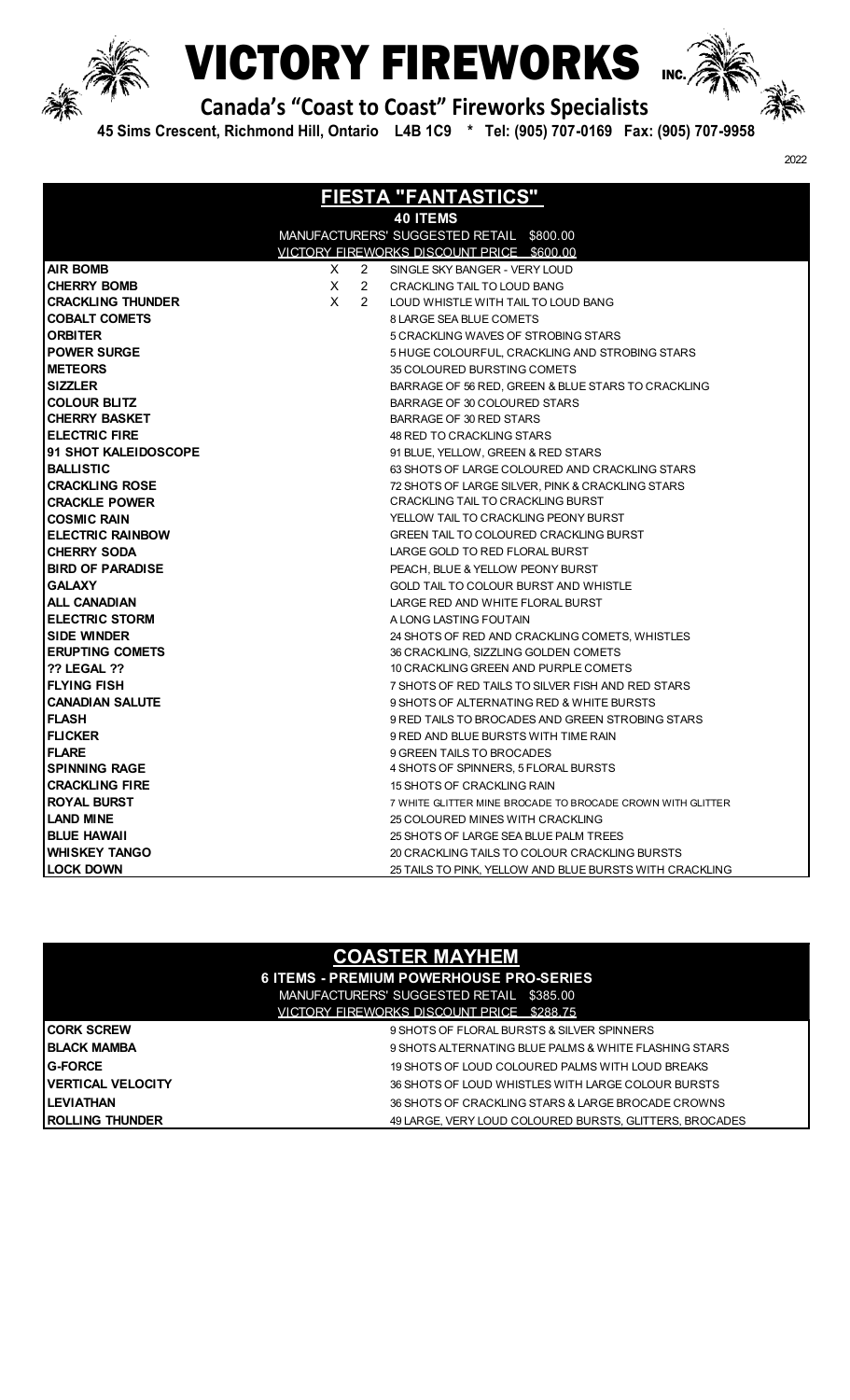

# **CTORY FIREWORKS** MC



2022

 **Canada's "Coast to Coast" Fireworks Specialists**

 **45 Sims Crescent, Richmond Hill, Ontario L4B 1C9 \* Tel: (905) 707-0169 Fax: (905) 707-9958**

| <b>FIESTA "FANTASTICS"</b> |    |                      |                                                            |  |  |
|----------------------------|----|----------------------|------------------------------------------------------------|--|--|
| <b>40 ITEMS</b>            |    |                      |                                                            |  |  |
|                            |    |                      | MANUFACTURERS' SUGGESTED RETAIL \$800.00                   |  |  |
|                            |    |                      | VICTORY FIREWORKS DISCOUNT PRICE \$600.00                  |  |  |
| <b>AIR BOMB</b>            | X. | 2                    | SINGLE SKY BANGER - VERY LOUD                              |  |  |
| <b>CHERRY BOMB</b>         | X. | $\mathbf{2}$         | CRACKLING TAIL TO LOUD BANG                                |  |  |
| <b>CRACKLING THUNDER</b>   | X. | $\mathbf{2}^{\circ}$ | LOUD WHISTLE WITH TAIL TO LOUD BANG                        |  |  |
| <b>COBALT COMETS</b>       |    |                      | 8 LARGE SEA BLUE COMETS                                    |  |  |
| <b>ORBITER</b>             |    |                      | 5 CRACKLING WAVES OF STROBING STARS                        |  |  |
| <b>POWER SURGE</b>         |    |                      | 5 HUGE COLOURFUL, CRACKLING AND STROBING STARS             |  |  |
| <b>METEORS</b>             |    |                      | 35 COLOURED BURSTING COMETS                                |  |  |
| <b>SIZZLER</b>             |    |                      | BARRAGE OF 56 RED, GREEN & BLUE STARS TO CRACKLING         |  |  |
| <b>COLOUR BLITZ</b>        |    |                      | BARRAGE OF 30 COLOURED STARS                               |  |  |
| <b>CHERRY BASKET</b>       |    |                      | BARRAGE OF 30 RED STARS                                    |  |  |
| <b>ELECTRIC FIRE</b>       |    |                      | 48 RED TO CRACKLING STARS                                  |  |  |
| 91 SHOT KALEIDOSCOPE       |    |                      | 91 BLUE, YELLOW, GREEN & RED STARS                         |  |  |
| <b>BALLISTIC</b>           |    |                      | 63 SHOTS OF LARGE COLOURED AND CRACKLING STARS             |  |  |
| <b>CRACKLING ROSE</b>      |    |                      | 72 SHOTS OF LARGE SILVER, PINK & CRACKLING STARS           |  |  |
| <b>CRACKLE POWER</b>       |    |                      | CRACKLING TAIL TO CRACKLING BURST                          |  |  |
| <b>COSMIC RAIN</b>         |    |                      | YELLOW TAIL TO CRACKLING PEONY BURST                       |  |  |
| <b>ELECTRIC RAINBOW</b>    |    |                      | <b>GREEN TAIL TO COLOURED CRACKLING BURST</b>              |  |  |
| <b>CHERRY SODA</b>         |    |                      | LARGE GOLD TO RED FLORAL BURST                             |  |  |
| <b>BIRD OF PARADISE</b>    |    |                      | PEACH, BLUE & YELLOW PEONY BURST                           |  |  |
| <b>GALAXY</b>              |    |                      | GOLD TAIL TO COLOUR BURST AND WHISTLE                      |  |  |
| <b>ALL CANADIAN</b>        |    |                      | LARGE RED AND WHITE FLORAL BURST                           |  |  |
| <b>ELECTRIC STORM</b>      |    |                      | A LONG LASTING FOUTAIN                                     |  |  |
| <b>SIDE WINDER</b>         |    |                      | 24 SHOTS OF RED AND CRACKLING COMETS, WHISTLES             |  |  |
| <b>ERUPTING COMETS</b>     |    |                      | 36 CRACKLING, SIZZLING GOLDEN COMETS                       |  |  |
| <b>?? LEGAL ??</b>         |    |                      | 10 CRACKLING GREEN AND PURPLE COMETS                       |  |  |
| <b>FLYING FISH</b>         |    |                      | 7 SHOTS OF RED TAILS TO SILVER FISH AND RED STARS          |  |  |
| <b>CANADIAN SALUTE</b>     |    |                      | 9 SHOTS OF ALTERNATING RED & WHITE BURSTS                  |  |  |
| <b>FLASH</b>               |    |                      | 9 RED TAILS TO BROCADES AND GREEN STROBING STARS           |  |  |
| <b>FLICKER</b>             |    |                      | 9 RED AND BLUE BURSTS WITH TIME RAIN                       |  |  |
| <b>FLARE</b>               |    |                      | 9 GREEN TAILS TO BROCADES                                  |  |  |
| <b>SPINNING RAGE</b>       |    |                      | 4 SHOTS OF SPINNERS, 5 FLORAL BURSTS                       |  |  |
| <b>CRACKLING FIRE</b>      |    |                      | 15 SHOTS OF CRACKLING RAIN                                 |  |  |
| <b>ROYAL BURST</b>         |    |                      | 7 WHITE GLITTER MINE BROCADE TO BROCADE CROWN WITH GLITTER |  |  |
| <b>LAND MINE</b>           |    |                      | 25 COLOURED MINES WITH CRACKLING                           |  |  |
| <b>BLUE HAWAII</b>         |    |                      | 25 SHOTS OF LARGE SEA BLUE PALM TREES                      |  |  |
| <b>WHISKEY TANGO</b>       |    |                      | 20 CRACKLING TAILS TO COLOUR CRACKLING BURSTS              |  |  |
| <b>LOCK DOWN</b>           |    |                      | 25 TAILS TO PINK, YELLOW AND BLUE BURSTS WITH CRACKLING    |  |  |

| <b>COASTER MAYHEM</b> |
|-----------------------|
|                       |
|                       |
|                       |

|                          | <b>6 ITEMS - PREMIUM POWERHOUSE PRO-SERIES</b>          |
|--------------------------|---------------------------------------------------------|
|                          | MANUFACTURERS' SUGGESTED RETAIL \$385.00                |
|                          | VICTORY FIREWORKS DISCOUNT PRICE \$288.75               |
| <b>CORK SCREW</b>        | 9 SHOTS OF FLORAL BURSTS & SILVER SPINNERS              |
| <b>BLACK MAMBA</b>       | 9 SHOTS ALTERNATING BLUE PALMS & WHITE FLASHING STARS   |
| <b>G-FORCE</b>           | 19 SHOTS OF LOUD COLOURED PALMS WITH LOUD BREAKS        |
| <b>VERTICAL VELOCITY</b> | 36 SHOTS OF LOUD WHISTLES WITH LARGE COLOUR BURSTS      |
| LEVIATHAN                | 36 SHOTS OF CRACKLING STARS & LARGE BROCADE CROWNS      |
| ROLLING THUNDER          | 49 LARGE. VERY LOUD COLOURED BURSTS, GLITTERS, BROCADES |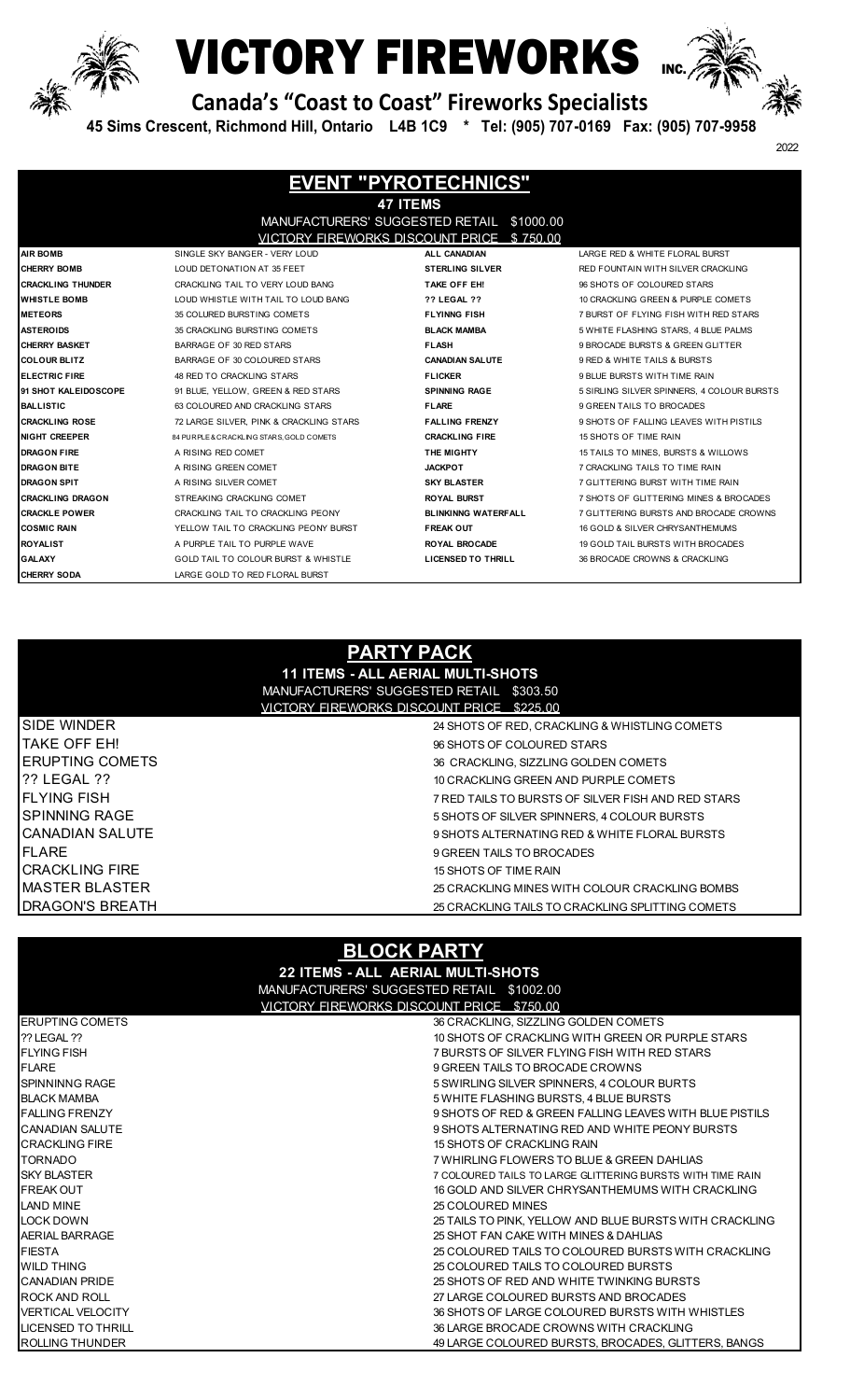

# **WICTORY FIREWORKS**



2022

 **Canada's "Coast to Coast" Fireworks Specialists**

 **45 Sims Crescent, Richmond Hill, Ontario L4B 1C9 \* Tel: (905) 707-0169 Fax: (905) 707-9958**

| <b>EVENT "PYROTECHNICS"</b> |                                           |                            |                                            |  |  |  |
|-----------------------------|-------------------------------------------|----------------------------|--------------------------------------------|--|--|--|
| <b>47 ITEMS</b>             |                                           |                            |                                            |  |  |  |
|                             | MANUFACTURERS' SUGGESTED RETAIL \$1000.00 |                            |                                            |  |  |  |
|                             | VICTORY FIREWORKS DISCOUNT PRICE \$750.00 |                            |                                            |  |  |  |
| <b>AIR BOMB</b>             | SINGLE SKY BANGER - VERY LOUD             | ALL CANADIAN               | LARGE RED & WHITE FLORAL BURST             |  |  |  |
| <b>CHERRY BOMB</b>          | LOUD DETONATION AT 35 FEET                | <b>STERLING SILVER</b>     | RED FOUNTAIN WITH SILVER CRACKLING         |  |  |  |
| <b>CRACKLING THUNDER</b>    | CRACKLING TAIL TO VERY LOUD BANG          | TAKE OFF EH!               | 96 SHOTS OF COLOURED STARS                 |  |  |  |
| <b>WHISTLE BOMB</b>         | LOUD WHISTLE WITH TAIL TO LOUD BANG       | <b>?? LEGAL ??</b>         | 10 CRACKLING GREEN & PURPLE COMETS         |  |  |  |
| <b>METEORS</b>              | 35 COLURED BURSTING COMETS                | <b>FLYINNG FISH</b>        | 7 BURST OF FLYING FISH WITH RED STARS      |  |  |  |
| <b>ASTEROIDS</b>            | 35 CRACKLING BURSTING COMETS              | <b>BLACK MAMBA</b>         | 5 WHITE FLASHING STARS, 4 BLUE PALMS       |  |  |  |
| <b>ICHERRY BASKET</b>       | BARRAGE OF 30 RED STARS                   | <b>FLASH</b>               | 9 BROCADE BURSTS & GREEN GLITTER           |  |  |  |
| <b>ICOLOUR BLITZ</b>        | BARRAGE OF 30 COLOURED STARS              | <b>CANADIAN SALUTE</b>     | 9 RED & WHITE TAILS & BURSTS               |  |  |  |
| <b>ELECTRIC FIRE</b>        | 48 RED TO CRACKLING STARS                 | <b>FLICKER</b>             | 9 BLUE BURSTS WITH TIME RAIN               |  |  |  |
| 91 SHOT KALEIDOSCOPE        | 91 BLUE, YELLOW, GREEN & RED STARS        | <b>SPINNING RAGE</b>       | 5 SIRLING SILVER SPINNERS, 4 COLOUR BURSTS |  |  |  |
| <b>BALLISTIC</b>            | 63 COLOURED AND CRACKLING STARS           | <b>FLARE</b>               | 9 GREEN TAILS TO BROCADES                  |  |  |  |
| <b>CRACKLING ROSE</b>       | 72 LARGE SILVER, PINK & CRACKLING STARS   | <b>FALLING FRENZY</b>      | 9 SHOTS OF FALLING LEAVES WITH PISTILS     |  |  |  |
| Inight Creeper              | 84 PURPLE & CRACKLING STARS, GOLD COMETS  | <b>CRACKLING FIRE</b>      | 15 SHOTS OF TIME RAIN                      |  |  |  |
| <b>DRAGON FIRE</b>          | A RISING RED COMET                        | <b>THE MIGHTY</b>          | 15 TAILS TO MINES, BURSTS & WILLOWS        |  |  |  |
| <b>DRAGON BITE</b>          | A RISING GREEN COMET                      | <b>JACKPOT</b>             | 7 CRACKLING TAILS TO TIME RAIN             |  |  |  |
| IDRAGON SPIT                | A RISING SILVER COMET                     | <b>SKY BLASTER</b>         | 7 GLITTERING BURST WITH TIME RAIN          |  |  |  |
| <b>CRACKLING DRAGON</b>     | STREAKING CRACKLING COMET                 | <b>ROYAL BURST</b>         | 7 SHOTS OF GLITTERING MINES & BROCADES     |  |  |  |
| <b>CRACKLE POWER</b>        | CRACKLING TAIL TO CRACKLING PEONY         | <b>BLINKINNG WATERFALL</b> | 7 GLITTERING BURSTS AND BROCADE CROWNS     |  |  |  |
| <b>COSMIC RAIN</b>          | YELLOW TAIL TO CRACKLING PEONY BURST      | <b>FREAK OUT</b>           | 16 GOLD & SILVER CHRYSANTHEMUMS            |  |  |  |
| <b>ROYALIST</b>             | A PURPLE TAIL TO PURPLE WAVE              | <b>ROYAL BROCADE</b>       | 19 GOLD TAIL BURSTS WITH BROCADES          |  |  |  |
| <b>GALAXY</b>               | GOLD TAIL TO COLOUR BURST & WHISTLE       | LICENSED TO THRILL         | 36 BROCADE CROWNS & CRACKLING              |  |  |  |
| <b>CHERRY SODA</b>          | LARGE GOLD TO RED FLORAL BURST            |                            |                                            |  |  |  |

#### **PARTY PACK**

**11 ITEMS - ALL AERIAL MULTI-SHOTS**

MANUFACTURERS' SUGGESTED RETAIL \$303.50<br>VICTORY FIREWORKS DISCOUNT PRICE \$225.00 VICTORY FIREWORKS DISCOUNT PRICE

| <b>SIDE WINDER</b>    | 24 SHOTS OF RED, CRACKLING & WHISTLING COMETS      |
|-----------------------|----------------------------------------------------|
| TAKE OFF EH!          | 96 SHOTS OF COLOURED STARS                         |
| IERUPTING COMETS      | 36 CRACKLING. SIZZLING GOLDEN COMETS               |
| 2? LEGAL ??           | 10 CRACKLING GREEN AND PURPLE COMETS               |
| IFLYING FISH          | 7 RED TAILS TO BURSTS OF SILVER FISH AND RED STARS |
| ISPINNING RAGE        | 5 SHOTS OF SILVER SPINNERS, 4 COLOUR BURSTS        |
| CANADIAN SALUTE       | 9 SHOTS ALTERNATING RED & WHITE FLORAL BURSTS      |
| <b>IFLARE</b>         | 9 GREEN TAILS TO BROCADES                          |
| <b>CRACKLING FIRE</b> | 15 SHOTS OF TIME RAIN                              |
| IMASTER BLASTER       | 25 CRACKLING MINES WITH COLOUR CRACKLING BOMBS     |
| IDRAGON'S BREATH      | 25 CRACKLING TAILS TO CRACKLING SPLITTING COMETS   |
|                       |                                                    |

#### **BLOCK PARTY**

| 22 ITEMS - ALL AERIAL MULTI-SHOTS |                                                            |  |  |  |
|-----------------------------------|------------------------------------------------------------|--|--|--|
|                                   | MANUFACTURERS' SUGGESTED RETAIL \$1002.00                  |  |  |  |
|                                   | VICTORY FIREWORKS DISCOUNT PRICE \$750.00                  |  |  |  |
| <b>IERUPTING COMETS</b>           | 36 CRACKLING, SIZZLING GOLDEN COMETS                       |  |  |  |
| <b>?? LEGAL ??</b>                | 10 SHOTS OF CRACKLING WITH GREEN OR PURPLE STARS           |  |  |  |
| <b>IFLYING FISH</b>               | 7 BURSTS OF SILVER FLYING FISH WITH RED STARS              |  |  |  |
| <b>FLARE</b>                      | 9 GREEN TAILS TO BROCADE CROWNS                            |  |  |  |
| <b>ISPINNINNG RAGE</b>            | 5 SWIRLING SILVER SPINNERS, 4 COLOUR BURTS                 |  |  |  |
| <b>BLACK MAMBA</b>                | 5 WHITE FLASHING BURSTS, 4 BLUE BURSTS                     |  |  |  |
| <b>IFALLING FRENZY</b>            | 9 SHOTS OF RED & GREEN FALLING LEAVES WITH BLUE PISTILS    |  |  |  |
| <b>CANADIAN SALUTE</b>            | 9 SHOTS ALTERNATING RED AND WHITE PEONY BURSTS             |  |  |  |
| <b>ICRACKLING FIRE</b>            | 15 SHOTS OF CRACKLING RAIN                                 |  |  |  |
| <b>TORNADO</b>                    | 7 WHIRLING FLOWERS TO BLUE & GREEN DAHLIAS                 |  |  |  |
| <b>ISKY BI ASTER</b>              | 7 COLOURED TAILS TO LARGE GLITTERING BURSTS WITH TIME RAIN |  |  |  |
| <b>IFREAK OUT</b>                 | 16 GOLD AND SILVER CHRYSANTHEMUMS WITH CRACKLING           |  |  |  |
| <b>LAND MINE</b>                  | 25 COLOURED MINES                                          |  |  |  |
| LOCK DOWN                         | 25 TAILS TO PINK. YELLOW AND BLUE BURSTS WITH CRACKLING    |  |  |  |
| <b>AERIAL BARRAGE</b>             | 25 SHOT FAN CAKE WITH MINES & DAHLIAS                      |  |  |  |
| <b>FIESTA</b>                     | 25 COLOURED TAILS TO COLOURED BURSTS WITH CRACKLING        |  |  |  |
| <b>WILD THING</b>                 | 25 COLOURED TAILS TO COLOURED BURSTS                       |  |  |  |
| <b>CANADIAN PRIDE</b>             | 25 SHOTS OF RED AND WHITE TWINKING BURSTS                  |  |  |  |
| <b>ROCK AND ROLL</b>              | 27 LARGE COLOURED BURSTS AND BROCADES                      |  |  |  |
| <b>VERTICAL VELOCITY</b>          | 36 SHOTS OF LARGE COLOURED BURSTS WITH WHISTLES            |  |  |  |
| <b>ILICENSED TO THRILL</b>        | 36 LARGE BROCADE CROWNS WITH CRACKLING                     |  |  |  |
| <b>ROLLING THUNDER</b>            | 49 LARGE COLOURED BURSTS, BROCADES, GLITTERS, BANGS        |  |  |  |